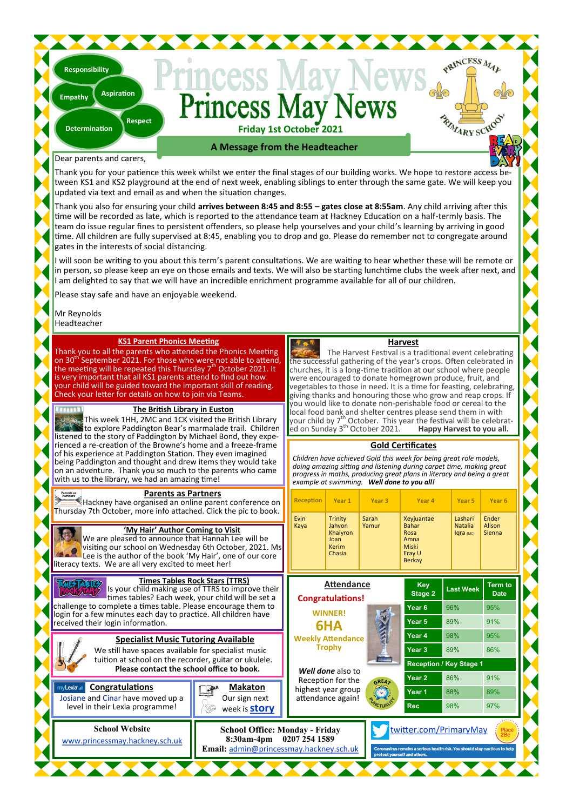# **Friday 1st October 2021**

## **A Message from the Headteacher**

### Dear parents and carers,

**Determination**

**Responsibility**

**Empathy**

Thank you for your patience this week whilst we enter the final stages of our building works. We hope to restore access b tween KS1 and KS2 playground at the end of next week, enabling siblings to enter through the same gate. We will keep you updated via text and email as and when the situation changes.

Thank you also for ensuring your child **arrives between 8:45 and 8:55 – gates close at 8:55am**. Any child arriving after this time will be recorded as late, which is reported to the attendance team at Hackney Education on a half-termly basis. The team do issue regular fines to persistent offenders, so please help yourselves and your child's learning by arriving in good time. All children are fully supervised at 8:45, enabling you to drop and go. Please do remember not to congregate around gates in the interests of social distancing.

will soon be writing to you about this term's parent consultations. We are waiting to hear whether these will be remote or in person, so please keep an eye on those emails and texts. We will also be starting lunchtime clubs the week after next, and am delighted to say that we will have an incredible enrichment programme available for all of our children.

Please stay safe and have an enjoyable weekend.

**Respect**

**Aspiration**

Mr Reynolds Headteacher

### **KS1 Parent Phonics Meeting**

Thank you to all the parents who attended the Phonics Meeting<br>on 30<sup>th</sup> September 2021. For those who were not able to attend, the meeting will be repeated this Thursday  $7<sup>th</sup>$  October 2021. It is very important that all KS1 parents attend to find out how our child will be guided toward the important skill of reading. Check your letter for details on how to join via Teams.

## **The British Library in Euston**

This week 1HH, 2MC and 1CK visited the British Library to explore Paddington Bear's marmalade trail. Children listened to the story of Paddington by Michael Bond, they experienced a re-creation of the Browne's home and a freeze-frame of his experience at Paddington Station. They even imagined being Paddington and thought and drew items they would take on an adventure. Thank you so much to the parents who came with us to the library, we had an amazing time!

### **Parents as Partners**

[H](https://education.hackney.gov.uk/parents-as-partners)ackney have organised an online parent conference on Thursday 7th October, more info attached. Click the pic to book.

| 'My Hair' Author Coming to Visit<br>We are pleased to announce that Hannah Lee will be<br>visiting our school on Wednesday 6th October, 2021. Ms<br>Lee is the author of the book 'My Hair', one of our core |
|--------------------------------------------------------------------------------------------------------------------------------------------------------------------------------------------------------------|
| literacy texts. We are all very excited to meet her!<br><b>Times Tables Rock Stars (TTRS)</b><br>Is your child making use of TTRS to improve their<br>times tables? Each week, your child will be set a      |

#### times tables? Each week, your child will be set a challenge to complete a times table. Please encourage them to login for a few minutes each day to practice. All children have received their login information.

**Specialist Music Tutoring Available** We still have spaces available for specialist music tuition at school on the recorder, guitar or ukulele. **Please contact the school office to book.**

**School Website** [www.princessmay.hackney.sch.uk](http://www.princessmay.hackney.sch.uk)

level in their Lexia programme!

**Congratulations** 



**School Office: Monday - Friday 8:30am-4pm 0207 254 1589 Email:** [admin@princessmay.hackney.sch.uk](mailto:admin@princessmay.hackney.sch.uk)

## **Harvest**

PRINCESS MAL

RIVARY SCHOOL

The Harvest Festival is a traditional event celebrating the successful gathering of the year's crops. Often celebrated in churches, it is a long-time tradition at our school where people were encouraged to donate homegrown produce, fruit, and vegetables to those in need. It is a time for feasting, celebrating, giving thanks and honouring those who grow and reap crops. If you would like to donate non-perishable food or cereal to the local food bank and shelter centres please send them in with<br>your child by 7<sup>th</sup> October. This year the festival will be celebratyour child by 7<sup>th</sup> October. This year the festival will be celebrat-<br>ed on Sunday 3<sup>th</sup> October 2021. **Happy Harvest to you all.** 

### **Gold Certificates**

*Children have achieved Gold this week for being great role models, doing amazing sitting and listening during carpet time, making great progress in maths, producing great plans in literacy and being a great example at swimming. Well done to you all!*

| n         | <b>Reception</b><br>Year 1                                     |                                                                 | Year <sub>3</sub> | Year 4                                                                         |                  | Year 5                                 | Year <sub>6</sub>             |
|-----------|----------------------------------------------------------------|-----------------------------------------------------------------|-------------------|--------------------------------------------------------------------------------|------------------|----------------------------------------|-------------------------------|
| ۰.<br>Isl | Evin<br>Kaya                                                   | <b>Trinity</b><br>Jahvon<br>Khaiyron<br>Joan<br>Kerim<br>Chasia | Sarah<br>Yamur    | Xeyjuantae<br><b>Bahar</b><br>Rosa<br>Amna<br>Miski<br>Eray U<br><b>Berkay</b> |                  | Lashari<br><b>Natalia</b><br>Igra (MC) | Ender<br>Alison<br>Sienna     |
|           | <b>Attendance</b><br><b>Congratulations!</b><br><b>WINNER!</b> |                                                                 |                   | Key<br>Stage 2                                                                 | <b>Last Week</b> |                                        | <b>Term to</b><br><b>Date</b> |
|           |                                                                |                                                                 |                   | Year <sub>6</sub>                                                              | 96%              |                                        | 95%                           |
|           |                                                                | 6HA                                                             |                   | Year <sub>5</sub>                                                              | 89%              |                                        | 91%                           |
|           |                                                                | <b>Weekly Attendance</b>                                        |                   | Year 4                                                                         | 98%              |                                        | 95%                           |
|           | <b>Trophy</b>                                                  |                                                                 |                   | Year <sub>3</sub>                                                              | 89%              |                                        | 86%                           |
|           |                                                                |                                                                 |                   | <b>Reception / Key Stage 1</b>                                                 |                  |                                        |                               |
|           |                                                                | Well done also to<br>Reception for the                          |                   | Year <sub>2</sub>                                                              | 86%              |                                        | 91%                           |
|           |                                                                | highest year group                                              |                   | Year 1                                                                         | 88%              |                                        | 89%                           |
|           | attendance again!                                              |                                                                 |                   | <b>Rec</b>                                                                     |                  | 98%                                    | 97%                           |

witter.com/PrimaryMay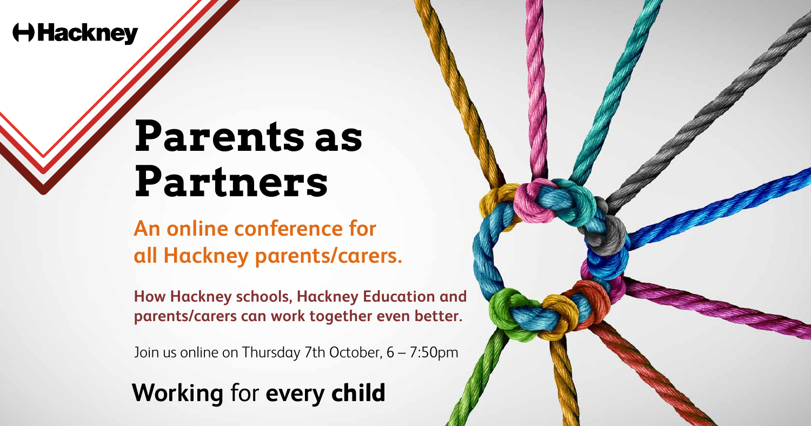**An online conference for all Hackney parents/carers.** 

**How Hackney schools, Hackney Education and parents/carers can work together even better.**

Join us online on Thursday 7th October, 6 – 7:50pm

## **Hackney**

## Parents as  $\blacksquare$ **11 mm clear** all sides **Partners**

black

# **Working** for **every child**